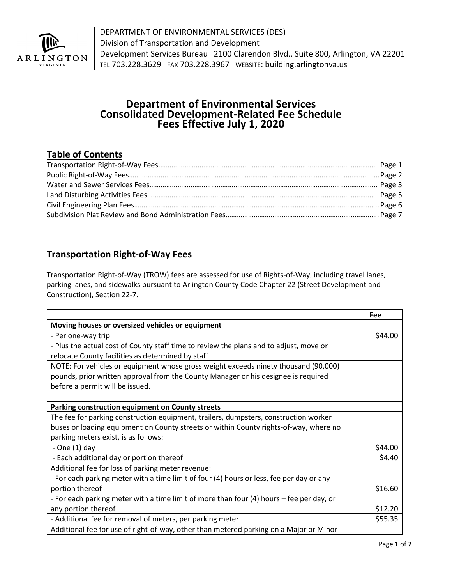

DEPARTMENT OF ENVIRONMENTAL SERVICES (DES) Division of Transportation and Development Development Services Bureau 2100 Clarendon Blvd., Suite 800, Arlington, VA 22201 TEL 703.228.3629 FAX 703.228.3967 WEBSITE: building.arlingtonva.us

# **Department of Environmental Services Consolidated Development-Related Fee Schedule Fees Effective July 1, 2020**

#### **Table of Contents**

#### **Transportation Right-of-Way Fees**

Transportation Right-of-Way (TROW) fees are assessed for use of Rights-of-Way, including travel lanes, parking lanes, and sidewalks pursuant to Arlington County Code Chapter 22 (Street Development and Construction), Section 22-7.

|                                                                                                                                                                                                              | Fee     |
|--------------------------------------------------------------------------------------------------------------------------------------------------------------------------------------------------------------|---------|
| Moving houses or oversized vehicles or equipment                                                                                                                                                             |         |
| - Per one-way trip                                                                                                                                                                                           | \$44.00 |
| - Plus the actual cost of County staff time to review the plans and to adjust, move or<br>relocate County facilities as determined by staff                                                                  |         |
| NOTE: For vehicles or equipment whose gross weight exceeds ninety thousand (90,000)<br>pounds, prior written approval from the County Manager or his designee is required<br>before a permit will be issued. |         |
| Parking construction equipment on County streets                                                                                                                                                             |         |
| The fee for parking construction equipment, trailers, dumpsters, construction worker                                                                                                                         |         |
| buses or loading equipment on County streets or within County rights-of-way, where no                                                                                                                        |         |
| parking meters exist, is as follows:                                                                                                                                                                         |         |
| - One $(1)$ day                                                                                                                                                                                              | \$44.00 |
| - Each additional day or portion thereof                                                                                                                                                                     | \$4.40  |
| Additional fee for loss of parking meter revenue:                                                                                                                                                            |         |
| - For each parking meter with a time limit of four (4) hours or less, fee per day or any                                                                                                                     |         |
| portion thereof                                                                                                                                                                                              | \$16.60 |
| - For each parking meter with a time limit of more than four (4) hours - fee per day, or                                                                                                                     |         |
| any portion thereof                                                                                                                                                                                          | \$12.20 |
| - Additional fee for removal of meters, per parking meter                                                                                                                                                    | \$55.35 |
| Additional fee for use of right-of-way, other than metered parking on a Major or Minor                                                                                                                       |         |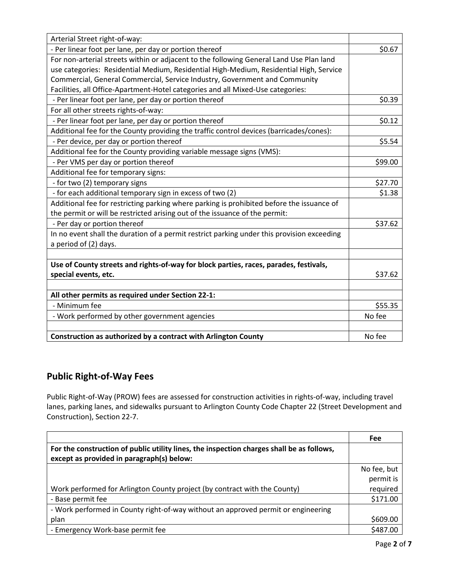| Arterial Street right-of-way:                                                              |         |
|--------------------------------------------------------------------------------------------|---------|
| - Per linear foot per lane, per day or portion thereof                                     | \$0.67  |
| For non-arterial streets within or adjacent to the following General Land Use Plan land    |         |
| use categories: Residential Medium, Residential High-Medium, Residential High, Service     |         |
| Commercial, General Commercial, Service Industry, Government and Community                 |         |
| Facilities, all Office-Apartment-Hotel categories and all Mixed-Use categories:            |         |
| - Per linear foot per lane, per day or portion thereof                                     | \$0.39  |
| For all other streets rights-of-way:                                                       |         |
| - Per linear foot per lane, per day or portion thereof                                     | \$0.12  |
| Additional fee for the County providing the traffic control devices (barricades/cones):    |         |
| - Per device, per day or portion thereof                                                   | \$5.54  |
| Additional fee for the County providing variable message signs (VMS):                      |         |
| - Per VMS per day or portion thereof                                                       | \$99.00 |
| Additional fee for temporary signs:                                                        |         |
| - for two (2) temporary signs                                                              | \$27.70 |
| - for each additional temporary sign in excess of two (2)                                  | \$1.38  |
| Additional fee for restricting parking where parking is prohibited before the issuance of  |         |
| the permit or will be restricted arising out of the issuance of the permit:                |         |
| - Per day or portion thereof                                                               | \$37.62 |
| In no event shall the duration of a permit restrict parking under this provision exceeding |         |
| a period of (2) days.                                                                      |         |
|                                                                                            |         |
| Use of County streets and rights-of-way for block parties, races, parades, festivals,      |         |
| special events, etc.                                                                       | \$37.62 |
|                                                                                            |         |
| All other permits as required under Section 22-1:                                          |         |
| - Minimum fee                                                                              | \$55.35 |
| - Work performed by other government agencies                                              | No fee  |
|                                                                                            |         |
| Construction as authorized by a contract with Arlington County                             | No fee  |

# **Public Right-of-Way Fees**

Public Right-of-Way (PROW) fees are assessed for construction activities in rights-of-way, including travel lanes, parking lanes, and sidewalks pursuant to Arlington County Code Chapter 22 (Street Development and Construction), Section 22-7.

|                                                                                           | Fee         |
|-------------------------------------------------------------------------------------------|-------------|
| For the construction of public utility lines, the inspection charges shall be as follows, |             |
| except as provided in paragraph(s) below:                                                 |             |
|                                                                                           | No fee, but |
|                                                                                           | permit is   |
| Work performed for Arlington County project (by contract with the County)                 | required    |
| - Base permit fee                                                                         | \$171.00    |
| - Work performed in County right-of-way without an approved permit or engineering         |             |
| plan                                                                                      | \$609.00    |
| - Emergency Work-base permit fee                                                          | \$487.00    |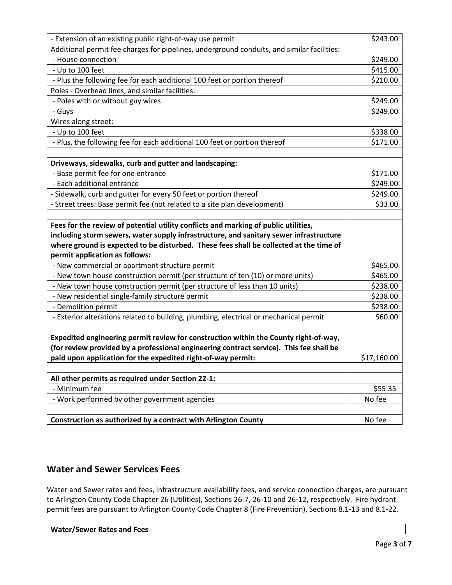| - Extension of an existing public right-of-way use permit                                                                                                                                                                                                                                                 | \$243.00    |
|-----------------------------------------------------------------------------------------------------------------------------------------------------------------------------------------------------------------------------------------------------------------------------------------------------------|-------------|
| Additional permit fee charges for pipelines, underground conduits, and similar facilities:                                                                                                                                                                                                                |             |
| - House connection                                                                                                                                                                                                                                                                                        | \$249.00    |
| - Up to 100 feet                                                                                                                                                                                                                                                                                          | \$415.00    |
| - Plus the following fee for each additional 100 feet or portion thereof                                                                                                                                                                                                                                  | \$210.00    |
| Poles - Overhead lines, and similar facilities:                                                                                                                                                                                                                                                           |             |
| - Poles with or without guy wires                                                                                                                                                                                                                                                                         | \$249.00    |
| - Guys                                                                                                                                                                                                                                                                                                    | \$249.00    |
| Wires along street:                                                                                                                                                                                                                                                                                       |             |
| - Up to 100 feet                                                                                                                                                                                                                                                                                          | \$338.00    |
| - Plus, the following fee for each additional 100 feet or portion thereof                                                                                                                                                                                                                                 | \$171.00    |
| Driveways, sidewalks, curb and gutter and landscaping:                                                                                                                                                                                                                                                    |             |
| - Base permit fee for one entrance                                                                                                                                                                                                                                                                        | \$171.00    |
| - Each additional entrance                                                                                                                                                                                                                                                                                | \$249.00    |
| - Sidewalk, curb and gutter for every 50 feet or portion thereof                                                                                                                                                                                                                                          | \$249.00    |
| - Street trees: Base permit fee (not related to a site plan development)                                                                                                                                                                                                                                  | \$33.00     |
| Fees for the review of potential utility conflicts and marking of public utilities,<br>including storm sewers, water supply infrastructure, and sanitary sewer infrastructure<br>where ground is expected to be disturbed. These fees shall be collected at the time of<br>permit application as follows: |             |
| - New commercial or apartment structure permit                                                                                                                                                                                                                                                            | \$465.00    |
| - New town house construction permit (per structure of ten (10) or more units)                                                                                                                                                                                                                            | \$465.00    |
| - New town house construction permit (per structure of less than 10 units)                                                                                                                                                                                                                                | \$238.00    |
| - New residential single-family structure permit                                                                                                                                                                                                                                                          | \$238.00    |
| - Demolition permit                                                                                                                                                                                                                                                                                       | \$238.00    |
| - Exterior alterations related to building, plumbing, electrical or mechanical permit                                                                                                                                                                                                                     | \$60.00     |
| Expedited engineering permit review for construction within the County right-of-way,<br>(for review provided by a professional engineering contract service). This fee shall be<br>paid upon application for the expedited right-of-way permit:                                                           |             |
|                                                                                                                                                                                                                                                                                                           | \$17,160.00 |
| All other permits as required under Section 22-1:                                                                                                                                                                                                                                                         |             |
| - Minimum fee                                                                                                                                                                                                                                                                                             | \$55.35     |
| - Work performed by other government agencies                                                                                                                                                                                                                                                             | No fee      |
| Construction as authorized by a contract with Arlington County                                                                                                                                                                                                                                            |             |

# **Water and Sewer Services Fees**

Water and Sewer rates and fees, infrastructure availability fees, and service connection charges, are pursuant to Arlington County Code Chapter 26 (Utilities), Sections 26-7, 26-10 and 26-12, respectively. Fire hydrant permit fees are pursuant to Arlington County Code Chapter 8 (Fire Prevention), Sections 8.1-13 and 8.1-22.

| Water/Sewer Rates and Fees |  |
|----------------------------|--|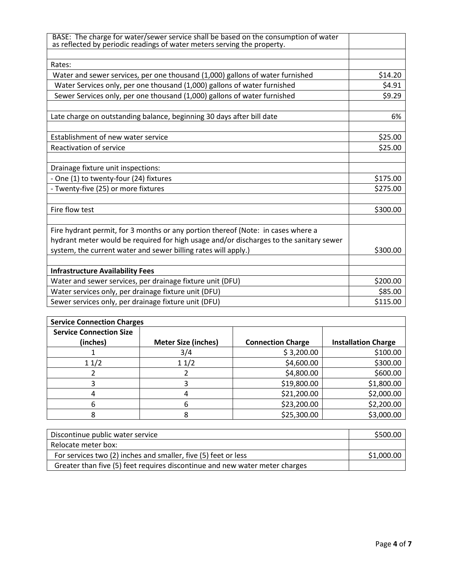| BASE: The charge for water/sewer service shall be based on the consumption of water<br>as reflected by periodic readings of water meters serving the property. |          |
|----------------------------------------------------------------------------------------------------------------------------------------------------------------|----------|
|                                                                                                                                                                |          |
| Rates:                                                                                                                                                         |          |
| Water and sewer services, per one thousand (1,000) gallons of water furnished                                                                                  | \$14.20  |
| Water Services only, per one thousand (1,000) gallons of water furnished                                                                                       | \$4.91   |
| Sewer Services only, per one thousand (1,000) gallons of water furnished                                                                                       | \$9.29   |
|                                                                                                                                                                |          |
| Late charge on outstanding balance, beginning 30 days after bill date                                                                                          | 6%       |
| Establishment of new water service                                                                                                                             | \$25.00  |
| Reactivation of service                                                                                                                                        | \$25.00  |
|                                                                                                                                                                |          |
| Drainage fixture unit inspections:                                                                                                                             |          |
| - One (1) to twenty-four (24) fixtures                                                                                                                         | \$175.00 |
| - Twenty-five (25) or more fixtures                                                                                                                            | \$275.00 |
| Fire flow test                                                                                                                                                 | \$300.00 |
|                                                                                                                                                                |          |
| Fire hydrant permit, for 3 months or any portion thereof (Note: in cases where a                                                                               |          |
| hydrant meter would be required for high usage and/or discharges to the sanitary sewer                                                                         |          |
| system, the current water and sewer billing rates will apply.)                                                                                                 | \$300.00 |
| <b>Infrastructure Availability Fees</b>                                                                                                                        |          |
| Water and sewer services, per drainage fixture unit (DFU)                                                                                                      | \$200.00 |
| Water services only, per drainage fixture unit (DFU)                                                                                                           | \$85.00  |
| Sewer services only, per drainage fixture unit (DFU)                                                                                                           | \$115.00 |

| <b>Service Connection Charges</b> |                            |                          |                            |
|-----------------------------------|----------------------------|--------------------------|----------------------------|
| <b>Service Connection Size</b>    |                            |                          |                            |
| (inches)                          | <b>Meter Size (inches)</b> | <b>Connection Charge</b> | <b>Installation Charge</b> |
|                                   | 3/4                        | \$3,200.00               | \$100.00                   |
| 11/2                              | 11/2                       | \$4,600.00               | \$300.00                   |
|                                   |                            | \$4,800.00               | \$600.00                   |
|                                   |                            | \$19,800.00              | \$1,800.00                 |
| 4                                 |                            | \$21,200.00              | \$2,000.00                 |
| n                                 | h                          | \$23,200.00              | \$2,200.00                 |
|                                   |                            | \$25,300.00              | \$3,000.00                 |

| Discontinue public water service                                            | \$500.00   |
|-----------------------------------------------------------------------------|------------|
| Relocate meter box:                                                         |            |
| For services two (2) inches and smaller, five (5) feet or less              | \$1,000.00 |
| Greater than five (5) feet requires discontinue and new water meter charges |            |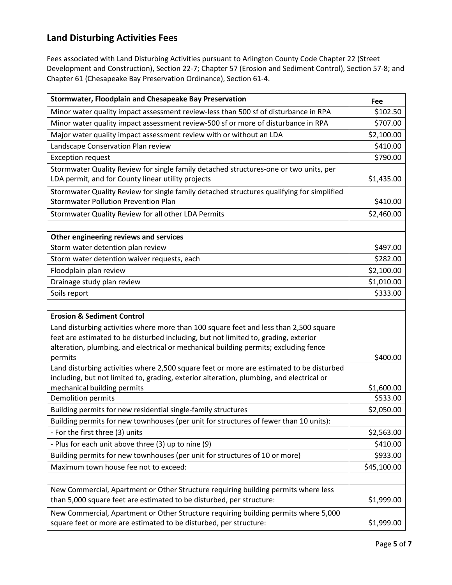# **Land Disturbing Activities Fees**

Fees associated with Land Disturbing Activities pursuant to Arlington County Code Chapter 22 (Street Development and Construction), Section 22-7; Chapter 57 (Erosion and Sediment Control), Section 57-8; and Chapter 61 (Chesapeake Bay Preservation Ordinance), Section 61-4.

| Stormwater, Floodplain and Chesapeake Bay Preservation                                                                                                   | Fee                    |
|----------------------------------------------------------------------------------------------------------------------------------------------------------|------------------------|
| Minor water quality impact assessment review-less than 500 sf of disturbance in RPA                                                                      | \$102.50               |
| Minor water quality impact assessment review-500 sf or more of disturbance in RPA                                                                        | \$707.00               |
| Major water quality impact assessment review with or without an LDA                                                                                      | \$2,100.00             |
| Landscape Conservation Plan review                                                                                                                       | \$410.00               |
| <b>Exception request</b>                                                                                                                                 | \$790.00               |
| Stormwater Quality Review for single family detached structures-one or two units, per<br>LDA permit, and for County linear utility projects              | \$1,435.00             |
| Stormwater Quality Review for single family detached structures qualifying for simplified<br><b>Stormwater Pollution Prevention Plan</b>                 | \$410.00               |
| Stormwater Quality Review for all other LDA Permits                                                                                                      | \$2,460.00             |
| Other engineering reviews and services                                                                                                                   |                        |
| Storm water detention plan review                                                                                                                        | \$497.00               |
| Storm water detention waiver requests, each                                                                                                              | \$282.00               |
| Floodplain plan review                                                                                                                                   | \$2,100.00             |
| Drainage study plan review                                                                                                                               | \$1,010.00             |
| Soils report                                                                                                                                             | \$333.00               |
|                                                                                                                                                          |                        |
| <b>Erosion &amp; Sediment Control</b>                                                                                                                    |                        |
| Land disturbing activities where more than 100 square feet and less than 2,500 square                                                                    |                        |
| feet are estimated to be disturbed including, but not limited to, grading, exterior                                                                      |                        |
| alteration, plumbing, and electrical or mechanical building permits; excluding fence                                                                     |                        |
| permits                                                                                                                                                  | \$400.00               |
| Land disturbing activities where 2,500 square feet or more are estimated to be disturbed                                                                 |                        |
| including, but not limited to, grading, exterior alteration, plumbing, and electrical or                                                                 |                        |
| mechanical building permits<br>Demolition permits                                                                                                        | \$1,600.00<br>\$533.00 |
| Building permits for new residential single-family structures                                                                                            | \$2,050.00             |
| Building permits for new townhouses (per unit for structures of fewer than 10 units):                                                                    |                        |
| - For the first three (3) units                                                                                                                          | \$2,563.00             |
| - Plus for each unit above three (3) up to nine (9)                                                                                                      | \$410.00               |
| Building permits for new townhouses (per unit for structures of 10 or more)                                                                              | \$933.00               |
| Maximum town house fee not to exceed:                                                                                                                    | \$45,100.00            |
|                                                                                                                                                          |                        |
| New Commercial, Apartment or Other Structure requiring building permits where less                                                                       |                        |
| than 5,000 square feet are estimated to be disturbed, per structure:                                                                                     | \$1,999.00             |
| New Commercial, Apartment or Other Structure requiring building permits where 5,000<br>square feet or more are estimated to be disturbed, per structure: | \$1,999.00             |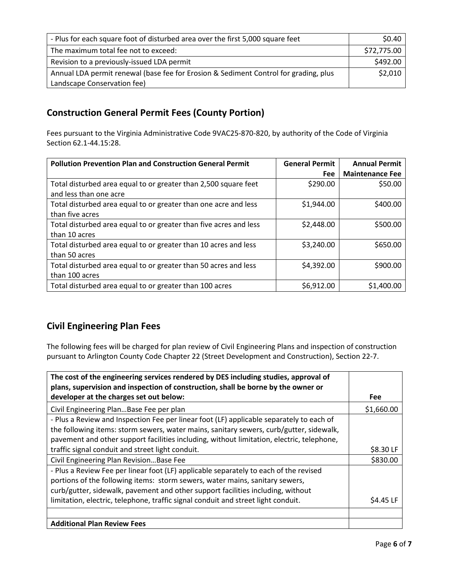| - Plus for each square foot of disturbed area over the first 5,000 square feet       | \$0.40      |
|--------------------------------------------------------------------------------------|-------------|
| The maximum total fee not to exceed:                                                 | \$72,775.00 |
| Revision to a previously-issued LDA permit                                           | \$492.00    |
| Annual LDA permit renewal (base fee for Erosion & Sediment Control for grading, plus | \$2,010     |
| Landscape Conservation fee)                                                          |             |

#### **Construction General Permit Fees (County Portion)**

Fees pursuant to the Virginia Administrative Code 9VAC25-870-820, by authority of the Code of Virginia Section 62.1-44.15:28.

| <b>Pollution Prevention Plan and Construction General Permit</b>  | <b>General Permit</b> | <b>Annual Permit</b>   |
|-------------------------------------------------------------------|-----------------------|------------------------|
|                                                                   | <b>Fee</b>            | <b>Maintenance Fee</b> |
| Total disturbed area equal to or greater than 2,500 square feet   | \$290.00              | \$50.00                |
| and less than one acre                                            |                       |                        |
| Total disturbed area equal to or greater than one acre and less   | \$1,944.00            | \$400.00               |
| than five acres                                                   |                       |                        |
| Total disturbed area equal to or greater than five acres and less | \$2,448.00            | \$500.00               |
| than 10 acres                                                     |                       |                        |
| Total disturbed area equal to or greater than 10 acres and less   | \$3,240.00            | \$650.00               |
| than 50 acres                                                     |                       |                        |
| Total disturbed area equal to or greater than 50 acres and less   | \$4,392.00            | \$900.00               |
| than 100 acres                                                    |                       |                        |
| Total disturbed area equal to or greater than 100 acres           | \$6,912.00            | \$1,400.00             |

# **Civil Engineering Plan Fees**

The following fees will be charged for plan review of Civil Engineering Plans and inspection of construction pursuant to Arlington County Code Chapter 22 (Street Development and Construction), Section 22-7.

| The cost of the engineering services rendered by DES including studies, approval of<br>plans, supervision and inspection of construction, shall be borne by the owner or |            |
|--------------------------------------------------------------------------------------------------------------------------------------------------------------------------|------------|
| developer at the charges set out below:                                                                                                                                  | Fee        |
| Civil Engineering PlanBase Fee per plan                                                                                                                                  | \$1,660.00 |
| - Plus a Review and Inspection Fee per linear foot (LF) applicable separately to each of                                                                                 |            |
| the following items: storm sewers, water mains, sanitary sewers, curb/gutter, sidewalk,                                                                                  |            |
| pavement and other support facilities including, without limitation, electric, telephone,                                                                                |            |
| traffic signal conduit and street light conduit.                                                                                                                         | \$8.30 LF  |
| Civil Engineering Plan RevisionBase Fee                                                                                                                                  | \$830.00   |
| - Plus a Review Fee per linear foot (LF) applicable separately to each of the revised                                                                                    |            |
| portions of the following items: storm sewers, water mains, sanitary sewers,                                                                                             |            |
| curb/gutter, sidewalk, pavement and other support facilities including, without                                                                                          |            |
| limitation, electric, telephone, traffic signal conduit and street light conduit.                                                                                        | \$4.45 LF  |
|                                                                                                                                                                          |            |
| <b>Additional Plan Review Fees</b>                                                                                                                                       |            |